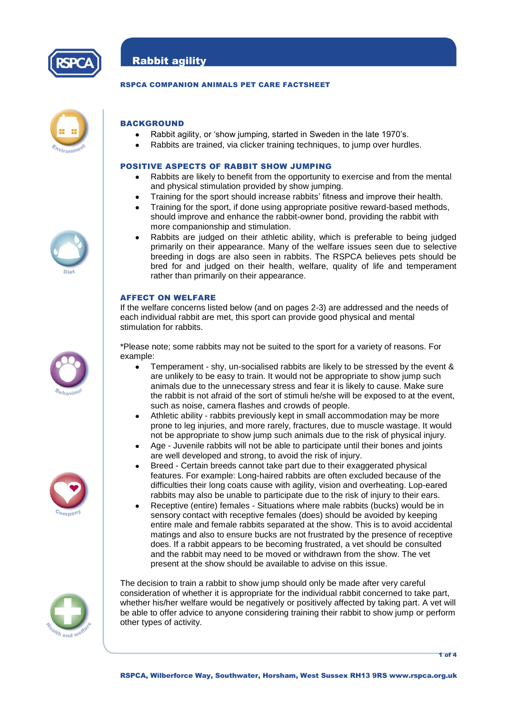

# Rabbit agility

## RSPCA COMPANION ANIMALS PET CARE FACTSHEET



## **BACKGROUND**

- Rabbit agility, or 'show jumping, started in Sweden in the late 1970's.
- Rabbits are trained, via clicker training techniques, to jump over hurdles.

## POSITIVE ASPECTS OF RABBIT SHOW JUMPING

- Rabbits are likely to benefit from the opportunity to exercise and from the mental and physical stimulation provided by show jumping.
- Training for the sport should increase rabbits' fitness and improve their health.
- Training for the sport, if done using appropriate positive reward-based methods, should improve and enhance the rabbit-owner bond, providing the rabbit with more companionship and stimulation.
- Rabbits are judged on their athletic ability, which is preferable to being judged primarily on their appearance. Many of the welfare issues seen due to selective breeding in dogs are also seen in rabbits. The RSPCA believes pets should be bred for and judged on their health, welfare, quality of life and temperament rather than primarily on their appearance.

## AFFECT ON WELFARE

If the welfare concerns listed below (and on pages 2-3) are addressed and the needs of each individual rabbit are met, this sport can provide good physical and mental stimulation for rabbits.

\*Please note; some rabbits may not be suited to the sport for a variety of reasons. For example:

- Temperament shy, un-socialised rabbits are likely to be stressed by the event &  $\bullet$ are unlikely to be easy to train. It would not be appropriate to show jump such animals due to the unnecessary stress and fear it is likely to cause. Make sure the rabbit is not afraid of the sort of stimuli he/she will be exposed to at the event, such as noise, camera flashes and crowds of people.
- Athletic ability rabbits previously kept in small accommodation may be more prone to leg injuries, and more rarely, fractures, due to muscle wastage. It would not be appropriate to show jump such animals due to the risk of physical injury.
- Age Juvenile rabbits will not be able to participate until their bones and joints are well developed and strong, to avoid the risk of injury.
- Breed Certain breeds cannot take part due to their exaggerated physical features. For example: Long-haired rabbits are often excluded because of the difficulties their long coats cause with agility, vision and overheating. Lop-eared rabbits may also be unable to participate due to the risk of injury to their ears.
- Receptive (entire) females Situations where male rabbits (bucks) would be in sensory contact with receptive females (does) should be avoided by keeping entire male and female rabbits separated at the show. This is to avoid accidental matings and also to ensure bucks are not frustrated by the presence of receptive does. If a rabbit appears to be becoming frustrated, a vet should be consulted and the rabbit may need to be moved or withdrawn from the show. The vet present at the show should be available to advise on this issue.

The decision to train a rabbit to show jump should only be made after very careful consideration of whether it is appropriate for the individual rabbit concerned to take part, whether his/her welfare would be negatively or positively affected by taking part. A vet will be able to offer advice to anyone considering training their rabbit to show jump or perform other types of activity.







1 of 4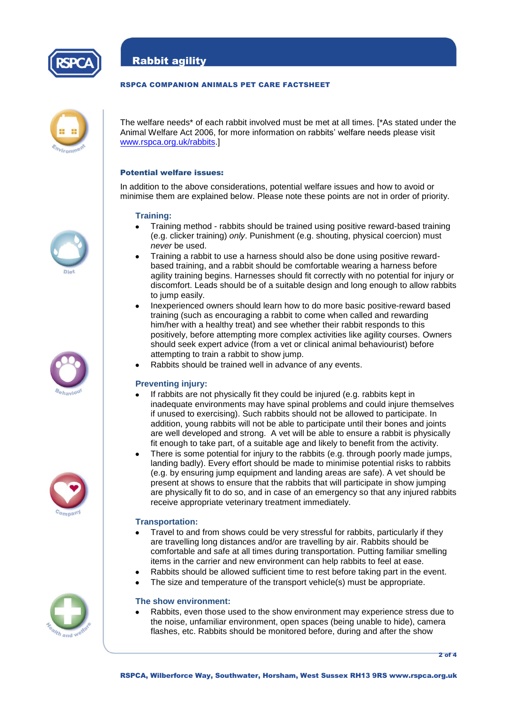

Rabbit agility

## RSPCA COMPANION ANIMALS PET CARE FACTSHEET



The welfare needs\* of each rabbit involved must be met at all times. [\*As stated under the Animal Welfare Act 2006, for more information on rabbits' welfare needs please visit [www.rspca.org.uk/rabbits.](http://www.rspca.org.uk/rabbits)]

## Potential welfare issues:

In addition to the above considerations, potential welfare issues and how to avoid or minimise them are explained below. Please note these points are not in order of priority.

#### **Training:**

- Training method rabbits should be trained using positive reward-based training (e.g. clicker training) *only*. Punishment (e.g. shouting, physical coercion) must *never* be used.
- Training a rabbit to use a harness should also be done using positive rewardbased training, and a rabbit should be comfortable wearing a harness before agility training begins. Harnesses should fit correctly with no potential for injury or discomfort. Leads should be of a suitable design and long enough to allow rabbits to jump easily.
- Inexperienced owners should learn how to do more basic positive-reward based training (such as encouraging a rabbit to come when called and rewarding him/her with a healthy treat) and see whether their rabbit responds to this positively, before attempting more complex activities like agility courses. Owners should seek expert advice (from a vet or clinical animal behaviourist) before attempting to train a rabbit to show jump.
- Rabbits should be trained well in advance of any events.

## **Preventing injury:**

- If rabbits are not physically fit they could be injured (e.g. rabbits kept in inadequate environments may have spinal problems and could injure themselves if unused to exercising). Such rabbits should not be allowed to participate. In addition, young rabbits will not be able to participate until their bones and joints are well developed and strong. A vet will be able to ensure a rabbit is physically fit enough to take part, of a suitable age and likely to benefit from the activity.
- There is some potential for injury to the rabbits (e.g. through poorly made jumps, landing badly). Every effort should be made to minimise potential risks to rabbits (e.g. by ensuring jump equipment and landing areas are safe). A vet should be present at shows to ensure that the rabbits that will participate in show jumping are physically fit to do so, and in case of an emergency so that any injured rabbits receive appropriate veterinary treatment immediately.

#### **Transportation:**

- Travel to and from shows could be very stressful for rabbits, particularly if they are travelling long distances and/or are travelling by air. Rabbits should be comfortable and safe at all times during transportation. Putting familiar smelling items in the carrier and new environment can help rabbits to feel at ease.
- Rabbits should be allowed sufficient time to rest before taking part in the event.
- The size and temperature of the transport vehicle(s) must be appropriate.

#### **The show environment:**

Rabbits, even those used to the show environment may experience stress due to the noise, unfamiliar environment, open spaces (being unable to hide), camera flashes, etc. Rabbits should be monitored before, during and after the show

2 of 4





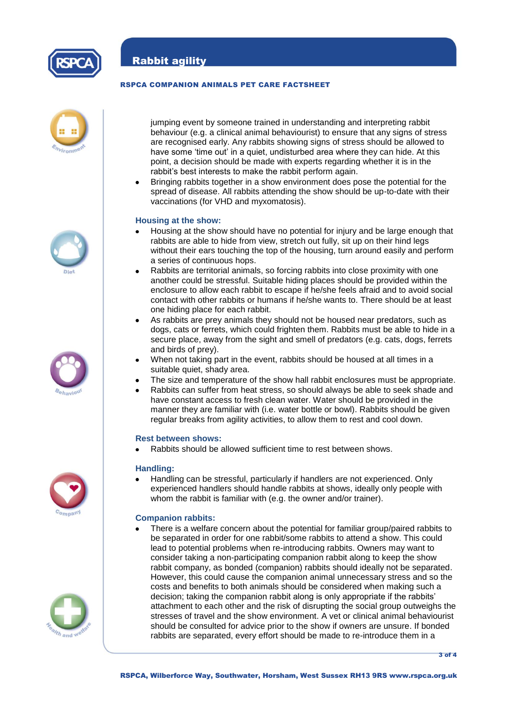

## RSPCA COMPANION ANIMALS PET CARE FACTSHEET



jumping event by someone trained in understanding and interpreting rabbit behaviour (e.g. a clinical animal behaviourist) to ensure that any signs of stress are recognised early. Any rabbits showing signs of stress should be allowed to have some 'time out' in a quiet, undisturbed area where they can hide. At this point, a decision should be made with experts regarding whether it is in the rabbit's best interests to make the rabbit perform again.

Bringing rabbits together in a show environment does pose the potential for the spread of disease. All rabbits attending the show should be up-to-date with their vaccinations (for VHD and myxomatosis).

## **Housing at the show:**

- Housing at the show should have no potential for injury and be large enough that rabbits are able to hide from view, stretch out fully, sit up on their hind legs without their ears touching the top of the housing, turn around easily and perform a series of continuous hops.
- Rabbits are territorial animals, so forcing rabbits into close proximity with one another could be stressful. Suitable hiding places should be provided within the enclosure to allow each rabbit to escape if he/she feels afraid and to avoid social contact with other rabbits or humans if he/she wants to. There should be at least one hiding place for each rabbit.
- As rabbits are prey animals they should not be housed near predators, such as dogs, cats or ferrets, which could frighten them. Rabbits must be able to hide in a secure place, away from the sight and smell of predators (e.g. cats, dogs, ferrets and birds of prey).
- When not taking part in the event, rabbits should be housed at all times in a suitable quiet, shady area.
- The size and temperature of the show hall rabbit enclosures must be appropriate.
- Rabbits can suffer from heat stress, so should always be able to seek shade and have constant access to fresh clean water. Water should be provided in the manner they are familiar with (i.e. water bottle or bowl). Rabbits should be given regular breaks from agility activities, to allow them to rest and cool down.

#### **Rest between shows:**

Rabbits should be allowed sufficient time to rest between shows.

#### **Handling:**

Handling can be stressful, particularly if handlers are not experienced. Only experienced handlers should handle rabbits at shows, ideally only people with whom the rabbit is familiar with (e.g. the owner and/or trainer).

## **Companion rabbits:**

There is a welfare concern about the potential for familiar group/paired rabbits to be separated in order for one rabbit/some rabbits to attend a show. This could lead to potential problems when re-introducing rabbits. Owners may want to consider taking a non-participating companion rabbit along to keep the show rabbit company, as bonded (companion) rabbits should ideally not be separated. However, this could cause the companion animal unnecessary stress and so the costs and benefits to both animals should be considered when making such a decision; taking the companion rabbit along is only appropriate if the rabbits' attachment to each other and the risk of disrupting the social group outweighs the stresses of travel and the show environment. A vet or clinical animal behaviourist should be consulted for advice prior to the show if owners are unsure. If bonded rabbits are separated, every effort should be made to re-introduce them in a









3 of 4